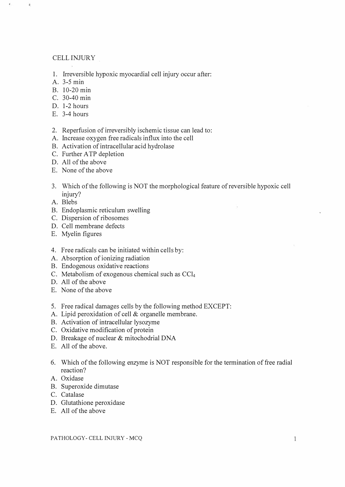## CELL INJURY

- 1. Irreversible hypoxic myocardial cell injury occur after:
- A. 3-5 min

 $\ddot{\ast}$ 

- B. 10-20 min
- C. 30-40 min
- D. 1-2 hours
- E. 3-4 hours
- 2. Reperfusion of irreversibly ischemic tissue can lead to:
- A. Increase oxygen free radicals influx into the cell
- B. Activation of intracellular acid hydrolase
- C. Further A TP depletion
- D. All of the above
- E. None of the above
- 3. Which of the following is NOT the morphological feature of reversible hypoxic cell injury?
- A. Blebs
- B. Endoplasmic reticulum swelling
- C. Dispersion of ribosomes
- D. Cell membrane defects
- E. Myelin figures
- 4. Free radicals can be initiated within cells by:
- A. Absorption of ionizing radiation
- B. Endogenous oxidative reactions
- C. Metabolism of exogenous chemical such as  $CCl<sub>4</sub>$
- D. All of the above
- E. None of the above
- 5. Free radical damages cells by the following method EXCEPT:
- A. Lipid peroxidation of cell & organelle membrane.
- B. Activation of intracellular lysozyme
- C. Oxidative modification of protein
- D. Breakage of nuclear & mitochodrial DNA
- E. All of the above.
- 6. Which of the following enzyme is NOT responsible for the termination of free radial reaction?
- A. Oxidase
- B. Superoxide dimutase
- C. Catalase
- D. Glutathione peroxidase
- E. All of the above

PATHOLOGY- CELL INJURY - MCQ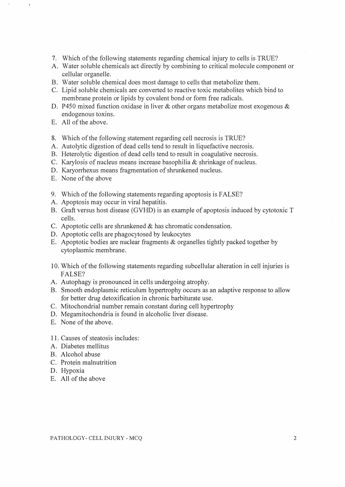- 7. Which of the following statements regarding chemical injury to cells is TRUE?
- A. Water soluble chemicals act directly by combining to critical molecule component or cellular organelle.
- B. Water soluble chemical does most damage to cells that metabolize them.
- c. Lipid soluble chemicals are converted to reactive toxic metabolites which bind to membrane protein or lipids by covalent bond or form free radicals.
- D. P450 mixed function oxidase in liver & other organs metabolize most exogenous & endogenous toxins.
- E. All of the above.
- 8. Which of the following statement regarding cell necrosis is TRUE?
- A. Autolytic digestion of dead cells tend to result in liquefactive necrosis.
- B. Heterolytic digestion of dead cells tend to result in coagulative necrosis.
- c. Karylosis of nucleus means increase basophilia & shrinkage of nucleus.
- D. Karyorrhexus means fragmentation of shrunkened nucleus.
- E. None of the above
- 9. Which of the following statements regarding apoptosis is FALSE?
- A. Apoptosis may occur in viral hepatitis.
- B. Graft versus host disease (GVHD) is an example of apoptosis induced by cytotoxic T cells.
- c. Apoptotic cells are shrunkened & has chromatic condensation.
- D. Apoptotic cells are phagocytosed by leukocytes
- E. Apoptotic bodies are nuclear fragments & organelles tightly packed together by cytoplasmic membrane.
- 10. Which of the following statements regarding subcellular alteration in cell injuries is FALSE?
- A. Autophagy is pronounced in cells undergoing atrophy.
- B. Smooth endoplasmic reticulum hypertrophy occurs as an adaptive response to allow for better drug detoxification in chronic barbiturate use.
- C. Mitochondrial number remain constant during cell hypertrophy
- D. Megamitochondria is found in alcoholic liver disease.
- E. None of the above.
- 1 1. Causes of steatosis includes:
- A. Diabetes mellitus
- B. Alcohol abuse
- C. Protein malnutrition
- D. Hypoxia
- E. All of the above